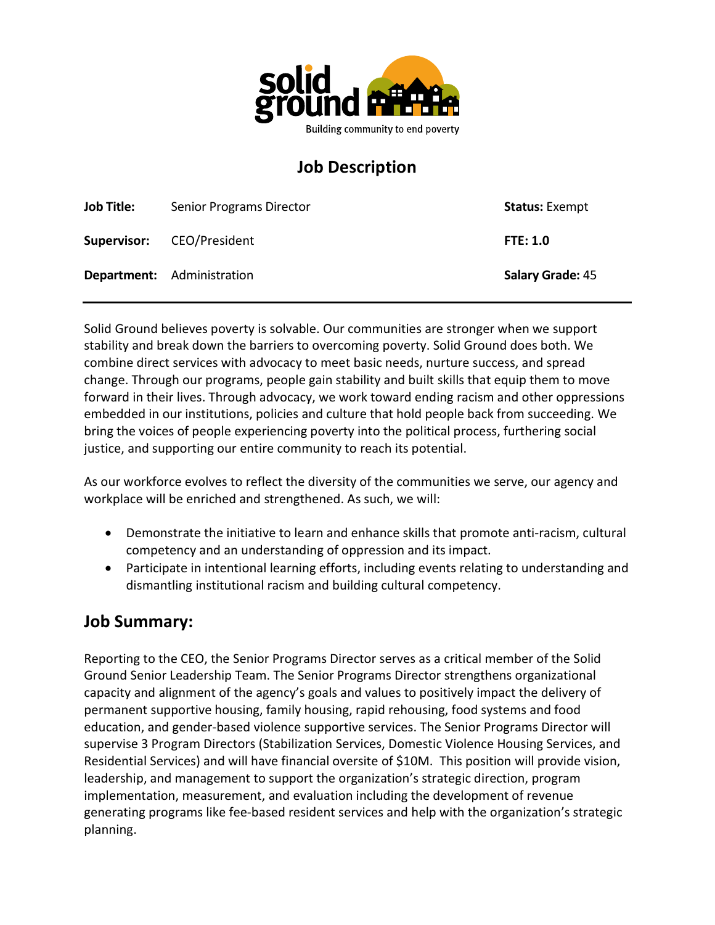

## Job Description

| <b>Job Title:</b> | Senior Programs Director          | <b>Status: Exempt</b>   |
|-------------------|-----------------------------------|-------------------------|
|                   | <b>Supervisor:</b> CEO/President  | FTE: 1.0                |
|                   | <b>Department:</b> Administration | <b>Salary Grade: 45</b> |

Solid Ground believes poverty is solvable. Our communities are stronger when we support stability and break down the barriers to overcoming poverty. Solid Ground does both. We combine direct services with advocacy to meet basic needs, nurture success, and spread change. Through our programs, people gain stability and built skills that equip them to move forward in their lives. Through advocacy, we work toward ending racism and other oppressions embedded in our institutions, policies and culture that hold people back from succeeding. We bring the voices of people experiencing poverty into the political process, furthering social justice, and supporting our entire community to reach its potential.

As our workforce evolves to reflect the diversity of the communities we serve, our agency and workplace will be enriched and strengthened. As such, we will:

- Demonstrate the initiative to learn and enhance skills that promote anti-racism, cultural competency and an understanding of oppression and its impact.
- Participate in intentional learning efforts, including events relating to understanding and dismantling institutional racism and building cultural competency.

## Job Summary:

Reporting to the CEO, the Senior Programs Director serves as a critical member of the Solid Ground Senior Leadership Team. The Senior Programs Director strengthens organizational capacity and alignment of the agency's goals and values to positively impact the delivery of permanent supportive housing, family housing, rapid rehousing, food systems and food education, and gender-based violence supportive services. The Senior Programs Director will supervise 3 Program Directors (Stabilization Services, Domestic Violence Housing Services, and Residential Services) and will have financial oversite of \$10M. This position will provide vision, leadership, and management to support the organization's strategic direction, program implementation, measurement, and evaluation including the development of revenue generating programs like fee-based resident services and help with the organization's strategic planning.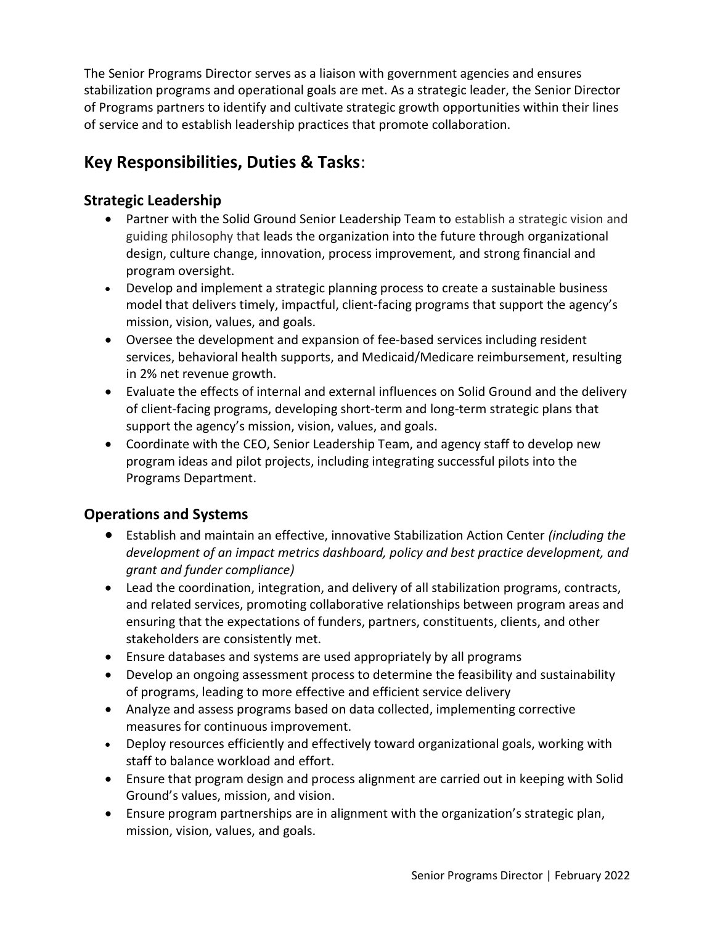The Senior Programs Director serves as a liaison with government agencies and ensures stabilization programs and operational goals are met. As a strategic leader, the Senior Director of Programs partners to identify and cultivate strategic growth opportunities within their lines of service and to establish leadership practices that promote collaboration.

## Key Responsibilities, Duties & Tasks:

### Strategic Leadership

- Partner with the Solid Ground Senior Leadership Team to establish a strategic vision and guiding philosophy that leads the organization into the future through organizational design, culture change, innovation, process improvement, and strong financial and program oversight.
- Develop and implement a strategic planning process to create a sustainable business model that delivers timely, impactful, client-facing programs that support the agency's mission, vision, values, and goals.
- Oversee the development and expansion of fee-based services including resident services, behavioral health supports, and Medicaid/Medicare reimbursement, resulting in 2% net revenue growth.
- Evaluate the effects of internal and external influences on Solid Ground and the delivery of client-facing programs, developing short-term and long-term strategic plans that support the agency's mission, vision, values, and goals.
- Coordinate with the CEO, Senior Leadership Team, and agency staff to develop new program ideas and pilot projects, including integrating successful pilots into the Programs Department.

### Operations and Systems

- Establish and maintain an effective, innovative Stabilization Action Center (including the development of an impact metrics dashboard, policy and best practice development, and grant and funder compliance)
- Lead the coordination, integration, and delivery of all stabilization programs, contracts, and related services, promoting collaborative relationships between program areas and ensuring that the expectations of funders, partners, constituents, clients, and other stakeholders are consistently met.
- Ensure databases and systems are used appropriately by all programs
- Develop an ongoing assessment process to determine the feasibility and sustainability of programs, leading to more effective and efficient service delivery
- Analyze and assess programs based on data collected, implementing corrective measures for continuous improvement.
- Deploy resources efficiently and effectively toward organizational goals, working with staff to balance workload and effort.
- Ensure that program design and process alignment are carried out in keeping with Solid Ground's values, mission, and vision.
- Ensure program partnerships are in alignment with the organization's strategic plan, mission, vision, values, and goals.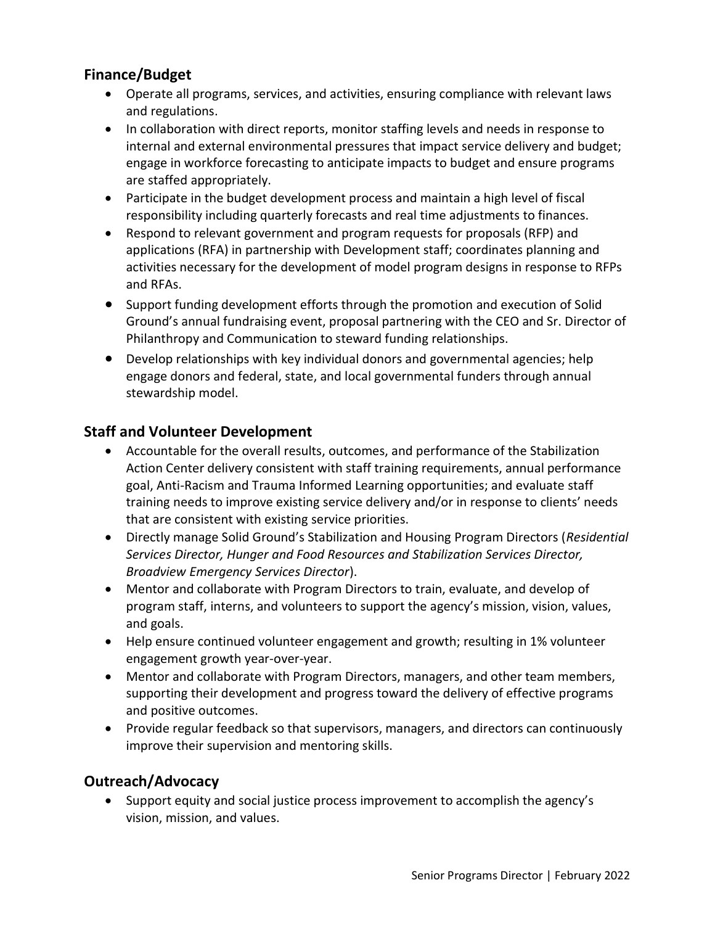### Finance/Budget

- Operate all programs, services, and activities, ensuring compliance with relevant laws and regulations.
- In collaboration with direct reports, monitor staffing levels and needs in response to internal and external environmental pressures that impact service delivery and budget; engage in workforce forecasting to anticipate impacts to budget and ensure programs are staffed appropriately.
- Participate in the budget development process and maintain a high level of fiscal responsibility including quarterly forecasts and real time adjustments to finances.
- Respond to relevant government and program requests for proposals (RFP) and applications (RFA) in partnership with Development staff; coordinates planning and activities necessary for the development of model program designs in response to RFPs and RFAs.
- Support funding development efforts through the promotion and execution of Solid Ground's annual fundraising event, proposal partnering with the CEO and Sr. Director of Philanthropy and Communication to steward funding relationships.
- Develop relationships with key individual donors and governmental agencies; help engage donors and federal, state, and local governmental funders through annual stewardship model.

### Staff and Volunteer Development

- Accountable for the overall results, outcomes, and performance of the Stabilization Action Center delivery consistent with staff training requirements, annual performance goal, Anti-Racism and Trauma Informed Learning opportunities; and evaluate staff training needs to improve existing service delivery and/or in response to clients' needs that are consistent with existing service priorities.
- Directly manage Solid Ground's Stabilization and Housing Program Directors (Residential Services Director, Hunger and Food Resources and Stabilization Services Director, Broadview Emergency Services Director).
- Mentor and collaborate with Program Directors to train, evaluate, and develop of program staff, interns, and volunteers to support the agency's mission, vision, values, and goals.
- Help ensure continued volunteer engagement and growth; resulting in 1% volunteer engagement growth year-over-year.
- Mentor and collaborate with Program Directors, managers, and other team members, supporting their development and progress toward the delivery of effective programs and positive outcomes.
- Provide regular feedback so that supervisors, managers, and directors can continuously improve their supervision and mentoring skills.

## Outreach/Advocacy

• Support equity and social justice process improvement to accomplish the agency's vision, mission, and values.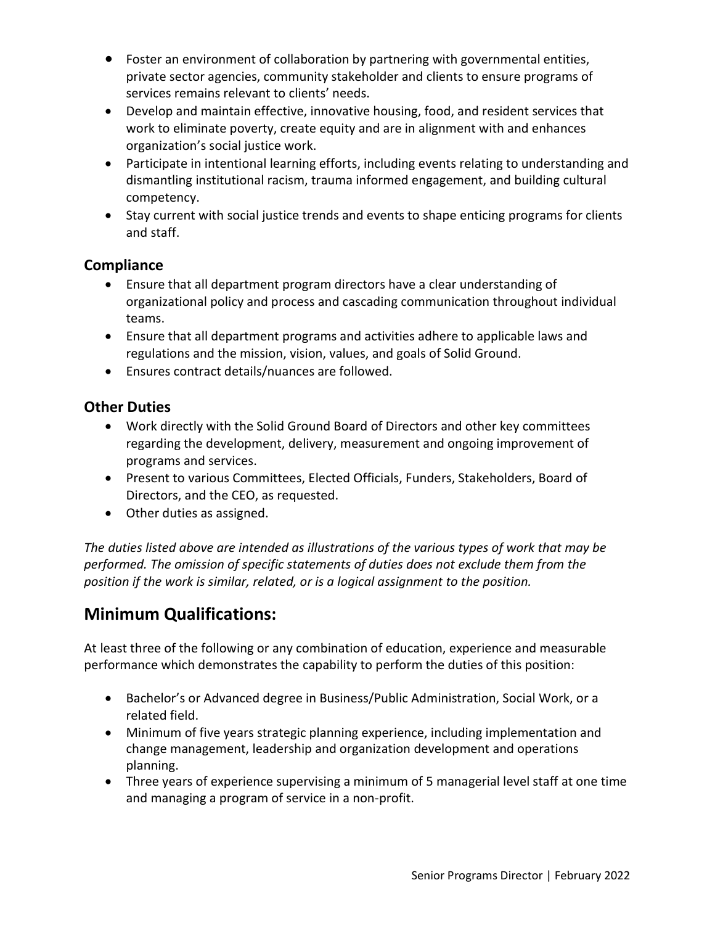- Foster an environment of collaboration by partnering with governmental entities, private sector agencies, community stakeholder and clients to ensure programs of services remains relevant to clients' needs.
- Develop and maintain effective, innovative housing, food, and resident services that work to eliminate poverty, create equity and are in alignment with and enhances organization's social justice work.
- Participate in intentional learning efforts, including events relating to understanding and dismantling institutional racism, trauma informed engagement, and building cultural competency.
- Stay current with social justice trends and events to shape enticing programs for clients and staff.

#### **Compliance**

- Ensure that all department program directors have a clear understanding of organizational policy and process and cascading communication throughout individual teams.
- Ensure that all department programs and activities adhere to applicable laws and regulations and the mission, vision, values, and goals of Solid Ground.
- Ensures contract details/nuances are followed.

#### Other Duties

- Work directly with the Solid Ground Board of Directors and other key committees regarding the development, delivery, measurement and ongoing improvement of programs and services.
- Present to various Committees, Elected Officials, Funders, Stakeholders, Board of Directors, and the CEO, as requested.
- Other duties as assigned.

The duties listed above are intended as illustrations of the various types of work that may be performed. The omission of specific statements of duties does not exclude them from the position if the work is similar, related, or is a logical assignment to the position.

## Minimum Qualifications:

At least three of the following or any combination of education, experience and measurable performance which demonstrates the capability to perform the duties of this position:

- Bachelor's or Advanced degree in Business/Public Administration, Social Work, or a related field.
- Minimum of five years strategic planning experience, including implementation and change management, leadership and organization development and operations planning.
- Three years of experience supervising a minimum of 5 managerial level staff at one time and managing a program of service in a non-profit.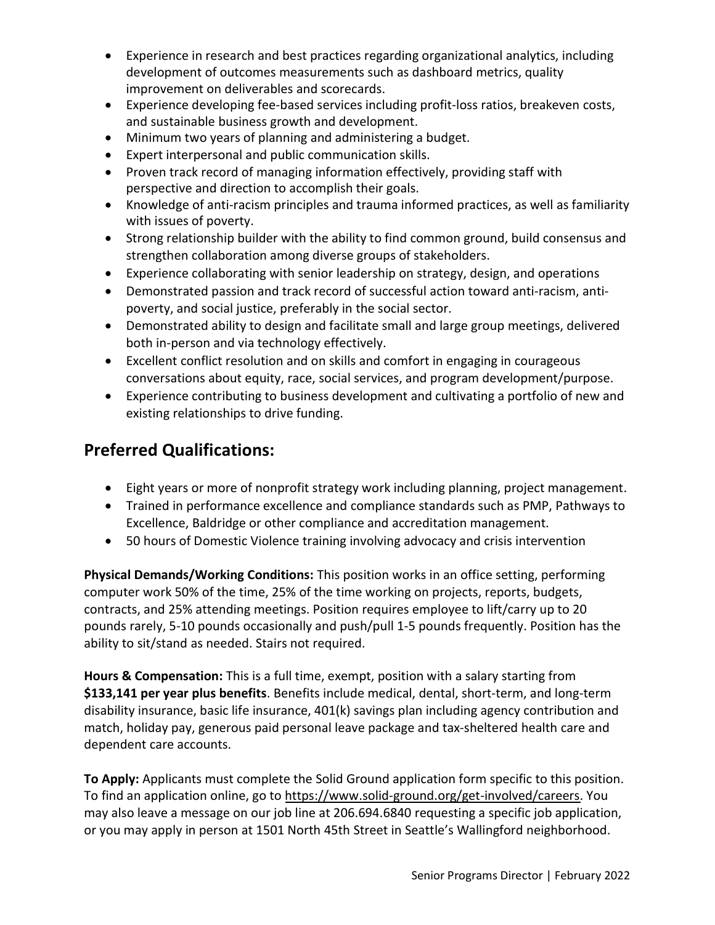- Experience in research and best practices regarding organizational analytics, including development of outcomes measurements such as dashboard metrics, quality improvement on deliverables and scorecards.
- Experience developing fee-based services including profit-loss ratios, breakeven costs, and sustainable business growth and development.
- Minimum two years of planning and administering a budget.
- Expert interpersonal and public communication skills.
- Proven track record of managing information effectively, providing staff with perspective and direction to accomplish their goals.
- Knowledge of anti-racism principles and trauma informed practices, as well as familiarity with issues of poverty.
- Strong relationship builder with the ability to find common ground, build consensus and strengthen collaboration among diverse groups of stakeholders.
- Experience collaborating with senior leadership on strategy, design, and operations
- Demonstrated passion and track record of successful action toward anti-racism, antipoverty, and social justice, preferably in the social sector.
- Demonstrated ability to design and facilitate small and large group meetings, delivered both in-person and via technology effectively.
- Excellent conflict resolution and on skills and comfort in engaging in courageous conversations about equity, race, social services, and program development/purpose.
- Experience contributing to business development and cultivating a portfolio of new and existing relationships to drive funding.

# Preferred Qualifications:

- Eight years or more of nonprofit strategy work including planning, project management.
- Trained in performance excellence and compliance standards such as PMP, Pathways to Excellence, Baldridge or other compliance and accreditation management.
- 50 hours of Domestic Violence training involving advocacy and crisis intervention

Physical Demands/Working Conditions: This position works in an office setting, performing computer work 50% of the time, 25% of the time working on projects, reports, budgets, contracts, and 25% attending meetings. Position requires employee to lift/carry up to 20 pounds rarely, 5-10 pounds occasionally and push/pull 1-5 pounds frequently. Position has the ability to sit/stand as needed. Stairs not required.

Hours & Compensation: This is a full time, exempt, position with a salary starting from \$133,141 per year plus benefits. Benefits include medical, dental, short-term, and long-term disability insurance, basic life insurance, 401(k) savings plan including agency contribution and match, holiday pay, generous paid personal leave package and tax-sheltered health care and dependent care accounts.

To Apply: Applicants must complete the Solid Ground application form specific to this position. To find an application online, go to https://www.solid-ground.org/get-involved/careers. You may also leave a message on our job line at 206.694.6840 requesting a specific job application, or you may apply in person at 1501 North 45th Street in Seattle's Wallingford neighborhood.